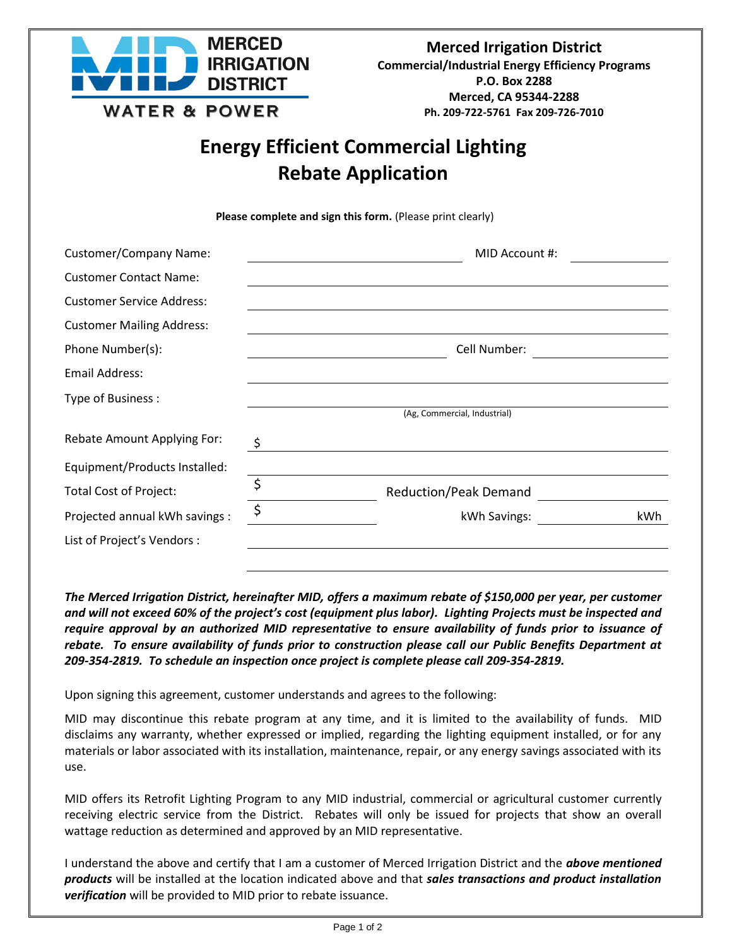

# **Energy Efficient Commercial Lighting Rebate Application**

Please complete and sign this form. (Please print clearly)

| <b>Customer/Company Name:</b>    |         | MID Account #:               |     |
|----------------------------------|---------|------------------------------|-----|
| <b>Customer Contact Name:</b>    |         |                              |     |
| <b>Customer Service Address:</b> |         |                              |     |
| <b>Customer Mailing Address:</b> |         |                              |     |
| Phone Number(s):                 |         | Cell Number:                 |     |
| <b>Email Address:</b>            |         |                              |     |
| Type of Business:                |         | (Ag, Commercial, Industrial) |     |
|                                  |         |                              |     |
| Rebate Amount Applying For:      | \$      |                              |     |
| Equipment/Products Installed:    |         |                              |     |
| <b>Total Cost of Project:</b>    | \$      | <b>Reduction/Peak Demand</b> |     |
| Projected annual kWh savings :   | $\zeta$ | kWh Savings:                 | kWh |
| List of Project's Vendors :      |         |                              |     |
|                                  |         |                              |     |

*The Merced Irrigation District, hereinafter MID, offers a maximum rebate of \$150,000 per year, per customer and will not exceed 60% of the project's cost (equipment plus labor). Lighting Projects must be inspected and require approval by an authorized MID representative to ensure availability of funds prior to issuance of rebate. To ensure availability of funds prior to construction please call our Public Benefits Department at 209-354-2819. To schedule an inspection once project is complete please call 209-354-2819.*

Upon signing this agreement, customer understands and agrees to the following:

MID may discontinue this rebate program at any time, and it is limited to the availability of funds. MID disclaims any warranty, whether expressed or implied, regarding the lighting equipment installed, or for any materials or labor associated with its installation, maintenance, repair, or any energy savings associated with its use.

MID offers its Retrofit Lighting Program to any MID industrial, commercial or agricultural customer currently receiving electric service from the District. Rebates will only be issued for projects that show an overall wattage reduction as determined and approved by an MID representative.

I understand the above and certify that I am a customer of Merced Irrigation District and the *above mentioned products* will be installed at the location indicated above and that *sales transactions and product installation verification* will be provided to MID prior to rebate issuance.